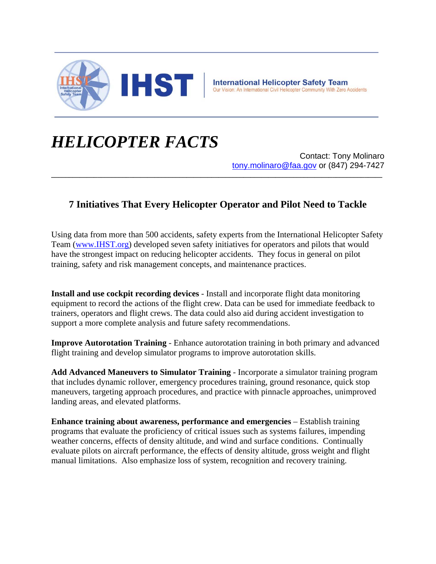

## *HELICOPTER FACTS*

Contact: Tony Molinaro tony.molinaro@faa.gov or (847) 294-7427

## **7 Initiatives That Every Helicopter Operator and Pilot Need to Tackle**

**\_\_\_\_\_\_\_\_\_\_\_\_\_\_\_\_\_\_\_\_\_\_\_\_\_\_\_\_\_\_\_\_\_\_\_\_\_\_\_\_\_\_\_\_\_\_\_\_\_\_\_\_\_\_\_\_\_\_\_\_\_\_\_\_\_\_\_\_\_\_\_\_\_\_\_\_\_\_\_\_\_\_\_\_\_\_\_\_\_\_\_\_\_**

Using data from more than 500 accidents, safety experts from the International Helicopter Safety Team (www.IHST.org) developed seven safety initiatives for operators and pilots that would have the strongest impact on reducing helicopter accidents. They focus in general on pilot training, safety and risk management concepts, and maintenance practices.

**Install and use cockpit recording devices** - Install and incorporate flight data monitoring equipment to record the actions of the flight crew. Data can be used for immediate feedback to trainers, operators and flight crews. The data could also aid during accident investigation to support a more complete analysis and future safety recommendations.

**Improve Autorotation Training** - Enhance autorotation training in both primary and advanced flight training and develop simulator programs to improve autorotation skills.

**Add Advanced Maneuvers to Simulator Training** - Incorporate a simulator training program that includes dynamic rollover, emergency procedures training, ground resonance, quick stop maneuvers, targeting approach procedures, and practice with pinnacle approaches, unimproved landing areas, and elevated platforms.

**Enhance training about awareness, performance and emergencies** – Establish training programs that evaluate the proficiency of critical issues such as systems failures, impending weather concerns, effects of density altitude, and wind and surface conditions. Continually evaluate pilots on aircraft performance, the effects of density altitude, gross weight and flight manual limitations. Also emphasize loss of system, recognition and recovery training.